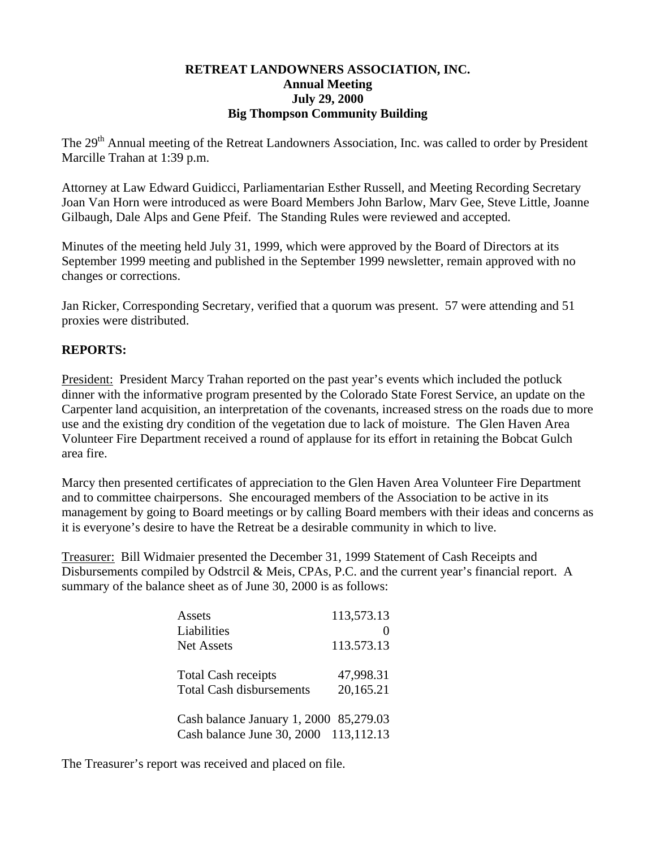## **RETREAT LANDOWNERS ASSOCIATION, INC. Annual Meeting July 29, 2000 Big Thompson Community Building**

The 29<sup>th</sup> Annual meeting of the Retreat Landowners Association, Inc. was called to order by President Marcille Trahan at 1:39 p.m.

Attorney at Law Edward Guidicci, Parliamentarian Esther Russell, and Meeting Recording Secretary Joan Van Horn were introduced as were Board Members John Barlow, Marv Gee, Steve Little, Joanne Gilbaugh, Dale Alps and Gene Pfeif. The Standing Rules were reviewed and accepted.

Minutes of the meeting held July 31, 1999, which were approved by the Board of Directors at its September 1999 meeting and published in the September 1999 newsletter, remain approved with no changes or corrections.

Jan Ricker, Corresponding Secretary, verified that a quorum was present. 57 were attending and 51 proxies were distributed.

## **REPORTS:**

President: President Marcy Trahan reported on the past year's events which included the potluck dinner with the informative program presented by the Colorado State Forest Service, an update on the Carpenter land acquisition, an interpretation of the covenants, increased stress on the roads due to more use and the existing dry condition of the vegetation due to lack of moisture. The Glen Haven Area Volunteer Fire Department received a round of applause for its effort in retaining the Bobcat Gulch area fire.

Marcy then presented certificates of appreciation to the Glen Haven Area Volunteer Fire Department and to committee chairpersons. She encouraged members of the Association to be active in its management by going to Board meetings or by calling Board members with their ideas and concerns as it is everyone's desire to have the Retreat be a desirable community in which to live.

Treasurer: Bill Widmaier presented the December 31, 1999 Statement of Cash Receipts and Disbursements compiled by Odstrcil & Meis, CPAs, P.C. and the current year's financial report. A summary of the balance sheet as of June 30, 2000 is as follows:

| Assets<br>Liabilities<br><b>Net Assets</b>                                       | 113,573.13<br>113.573.13 |
|----------------------------------------------------------------------------------|--------------------------|
| <b>Total Cash receipts</b><br><b>Total Cash disbursements</b>                    | 47,998.31<br>20,165.21   |
| Cash balance January 1, 2000 85,279.03<br>Cash balance June 30, 2000 113, 112.13 |                          |

The Treasurer's report was received and placed on file.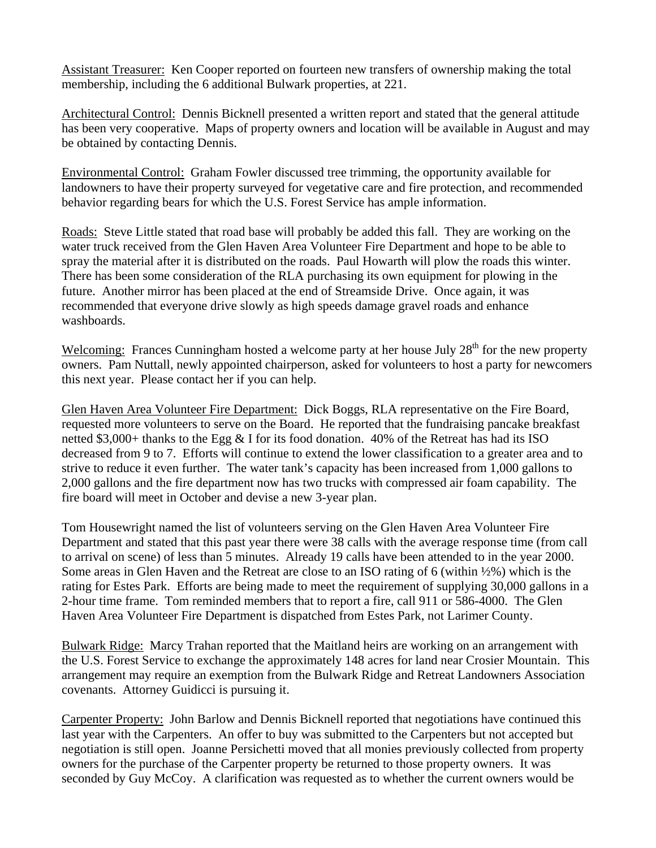Assistant Treasurer: Ken Cooper reported on fourteen new transfers of ownership making the total membership, including the 6 additional Bulwark properties, at 221.

Architectural Control: Dennis Bicknell presented a written report and stated that the general attitude has been very cooperative. Maps of property owners and location will be available in August and may be obtained by contacting Dennis.

Environmental Control: Graham Fowler discussed tree trimming, the opportunity available for landowners to have their property surveyed for vegetative care and fire protection, and recommended behavior regarding bears for which the U.S. Forest Service has ample information.

Roads: Steve Little stated that road base will probably be added this fall. They are working on the water truck received from the Glen Haven Area Volunteer Fire Department and hope to be able to spray the material after it is distributed on the roads. Paul Howarth will plow the roads this winter. There has been some consideration of the RLA purchasing its own equipment for plowing in the future. Another mirror has been placed at the end of Streamside Drive. Once again, it was recommended that everyone drive slowly as high speeds damage gravel roads and enhance washboards.

Welcoming: Frances Cunningham hosted a welcome party at her house July  $28<sup>th</sup>$  for the new property owners. Pam Nuttall, newly appointed chairperson, asked for volunteers to host a party for newcomers this next year. Please contact her if you can help.

Glen Haven Area Volunteer Fire Department: Dick Boggs, RLA representative on the Fire Board, requested more volunteers to serve on the Board. He reported that the fundraising pancake breakfast netted \$3,000+ thanks to the Egg  $\&$  I for its food donation. 40% of the Retreat has had its ISO decreased from 9 to 7. Efforts will continue to extend the lower classification to a greater area and to strive to reduce it even further. The water tank's capacity has been increased from 1,000 gallons to 2,000 gallons and the fire department now has two trucks with compressed air foam capability. The fire board will meet in October and devise a new 3-year plan.

Tom Housewright named the list of volunteers serving on the Glen Haven Area Volunteer Fire Department and stated that this past year there were 38 calls with the average response time (from call to arrival on scene) of less than 5 minutes. Already 19 calls have been attended to in the year 2000. Some areas in Glen Haven and the Retreat are close to an ISO rating of 6 (within ½%) which is the rating for Estes Park. Efforts are being made to meet the requirement of supplying 30,000 gallons in a 2-hour time frame. Tom reminded members that to report a fire, call 911 or 586-4000. The Glen Haven Area Volunteer Fire Department is dispatched from Estes Park, not Larimer County.

Bulwark Ridge: Marcy Trahan reported that the Maitland heirs are working on an arrangement with the U.S. Forest Service to exchange the approximately 148 acres for land near Crosier Mountain. This arrangement may require an exemption from the Bulwark Ridge and Retreat Landowners Association covenants. Attorney Guidicci is pursuing it.

Carpenter Property: John Barlow and Dennis Bicknell reported that negotiations have continued this last year with the Carpenters. An offer to buy was submitted to the Carpenters but not accepted but negotiation is still open. Joanne Persichetti moved that all monies previously collected from property owners for the purchase of the Carpenter property be returned to those property owners. It was seconded by Guy McCoy. A clarification was requested as to whether the current owners would be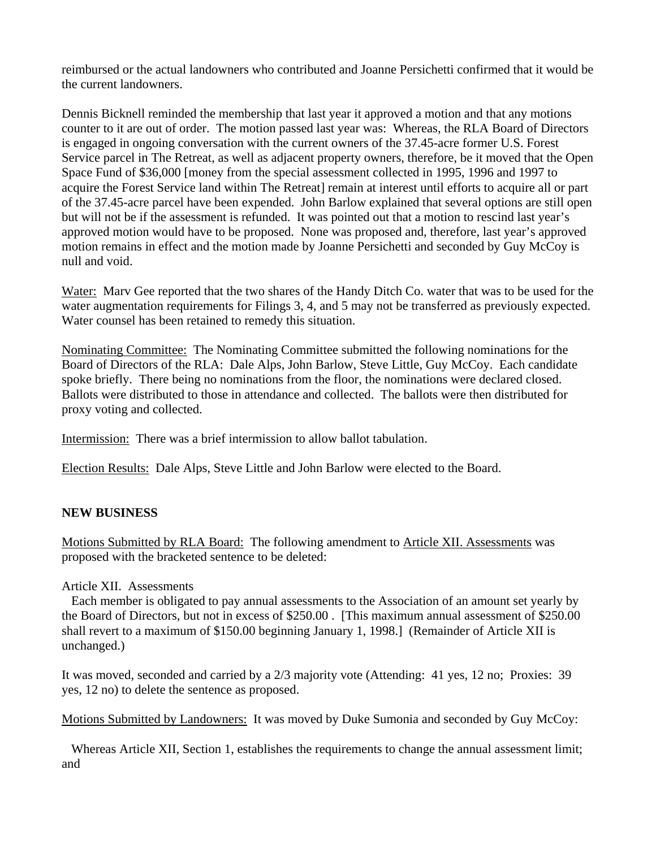reimbursed or the actual landowners who contributed and Joanne Persichetti confirmed that it would be the current landowners.

Dennis Bicknell reminded the membership that last year it approved a motion and that any motions counter to it are out of order. The motion passed last year was: Whereas, the RLA Board of Directors is engaged in ongoing conversation with the current owners of the 37.45-acre former U.S. Forest Service parcel in The Retreat, as well as adjacent property owners, therefore, be it moved that the Open Space Fund of \$36,000 [money from the special assessment collected in 1995, 1996 and 1997 to acquire the Forest Service land within The Retreat] remain at interest until efforts to acquire all or part of the 37.45-acre parcel have been expended. John Barlow explained that several options are still open but will not be if the assessment is refunded. It was pointed out that a motion to rescind last year's approved motion would have to be proposed. None was proposed and, therefore, last year's approved motion remains in effect and the motion made by Joanne Persichetti and seconded by Guy McCoy is null and void.

Water: Marv Gee reported that the two shares of the Handy Ditch Co. water that was to be used for the water augmentation requirements for Filings 3, 4, and 5 may not be transferred as previously expected. Water counsel has been retained to remedy this situation.

Nominating Committee: The Nominating Committee submitted the following nominations for the Board of Directors of the RLA: Dale Alps, John Barlow, Steve Little, Guy McCoy. Each candidate spoke briefly. There being no nominations from the floor, the nominations were declared closed. Ballots were distributed to those in attendance and collected. The ballots were then distributed for proxy voting and collected.

Intermission: There was a brief intermission to allow ballot tabulation.

Election Results: Dale Alps, Steve Little and John Barlow were elected to the Board.

## **NEW BUSINESS**

Motions Submitted by RLA Board: The following amendment to Article XII. Assessments was proposed with the bracketed sentence to be deleted:

## Article XII. Assessments

 Each member is obligated to pay annual assessments to the Association of an amount set yearly by the Board of Directors, but not in excess of \$250.00 . [This maximum annual assessment of \$250.00 shall revert to a maximum of \$150.00 beginning January 1, 1998.] (Remainder of Article XII is unchanged.)

It was moved, seconded and carried by a 2/3 majority vote (Attending: 41 yes, 12 no; Proxies: 39 yes, 12 no) to delete the sentence as proposed.

Motions Submitted by Landowners: It was moved by Duke Sumonia and seconded by Guy McCoy:

 Whereas Article XII, Section 1, establishes the requirements to change the annual assessment limit; and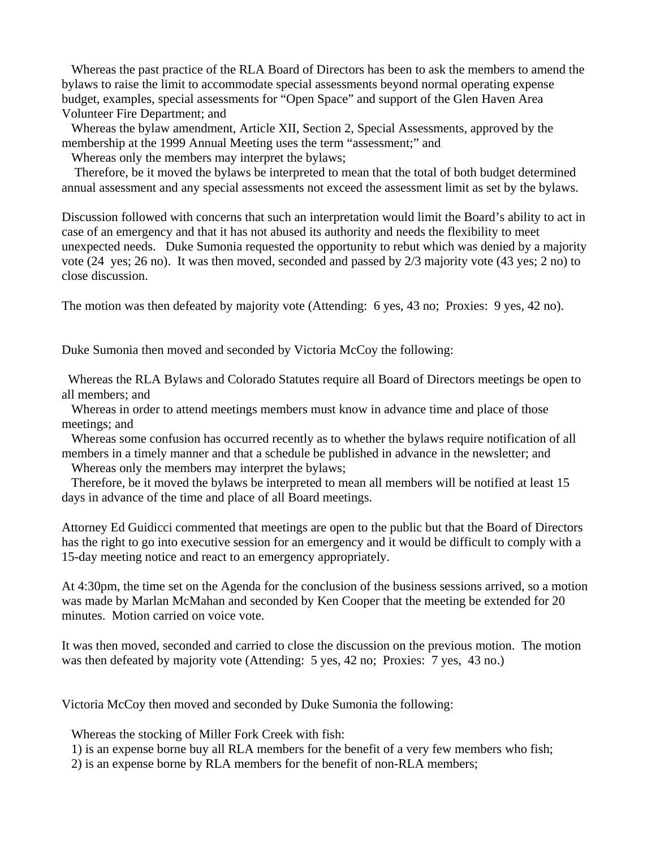Whereas the past practice of the RLA Board of Directors has been to ask the members to amend the bylaws to raise the limit to accommodate special assessments beyond normal operating expense budget, examples, special assessments for "Open Space" and support of the Glen Haven Area Volunteer Fire Department; and

 Whereas the bylaw amendment, Article XII, Section 2, Special Assessments, approved by the membership at the 1999 Annual Meeting uses the term "assessment;" and

Whereas only the members may interpret the bylaws;

 Therefore, be it moved the bylaws be interpreted to mean that the total of both budget determined annual assessment and any special assessments not exceed the assessment limit as set by the bylaws.

Discussion followed with concerns that such an interpretation would limit the Board's ability to act in case of an emergency and that it has not abused its authority and needs the flexibility to meet unexpected needs. Duke Sumonia requested the opportunity to rebut which was denied by a majority vote (24 yes; 26 no). It was then moved, seconded and passed by 2/3 majority vote (43 yes; 2 no) to close discussion.

The motion was then defeated by majority vote (Attending: 6 yes, 43 no; Proxies: 9 yes, 42 no).

Duke Sumonia then moved and seconded by Victoria McCoy the following:

 Whereas the RLA Bylaws and Colorado Statutes require all Board of Directors meetings be open to all members; and

 Whereas in order to attend meetings members must know in advance time and place of those meetings; and

 Whereas some confusion has occurred recently as to whether the bylaws require notification of all members in a timely manner and that a schedule be published in advance in the newsletter; and

Whereas only the members may interpret the bylaws;

 Therefore, be it moved the bylaws be interpreted to mean all members will be notified at least 15 days in advance of the time and place of all Board meetings.

Attorney Ed Guidicci commented that meetings are open to the public but that the Board of Directors has the right to go into executive session for an emergency and it would be difficult to comply with a 15-day meeting notice and react to an emergency appropriately.

At 4:30pm, the time set on the Agenda for the conclusion of the business sessions arrived, so a motion was made by Marlan McMahan and seconded by Ken Cooper that the meeting be extended for 20 minutes. Motion carried on voice vote.

It was then moved, seconded and carried to close the discussion on the previous motion. The motion was then defeated by majority vote (Attending: 5 yes, 42 no; Proxies: 7 yes, 43 no.)

Victoria McCoy then moved and seconded by Duke Sumonia the following:

Whereas the stocking of Miller Fork Creek with fish:

1) is an expense borne buy all RLA members for the benefit of a very few members who fish;

2) is an expense borne by RLA members for the benefit of non-RLA members;